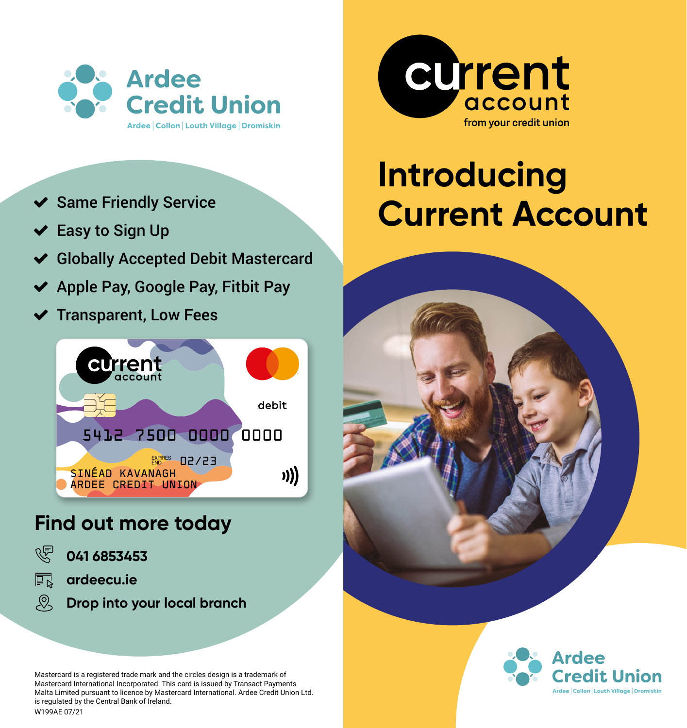

- $\blacktriangleright$  Same Friendly Service
- $\vee$  Easy to Sign Up
- ◆ Globally Accepted Debit Mastercard
- $\blacktriangleright$  Apple Pay, Google Pay, Fitbit Pay
- $\blacktriangleright$  Transparent, Low Fees



### **Find out more today**

- 凶 **041 6853453**
- 同 **ardeecu.ie**
- $\mathcal{Q}$ **Drop into your local branch**

Mastercard is a registered trade mark and the circles design is a trademark of Mastercard International Incorporated. This card is issued by Transact Payments Malta Limited pursuant to licence by Mastercard International. Ardee Credit Union Ltd. is regulated by the Central Bank of Ireland. W199AE 07/21



## **Introducing Current Account**